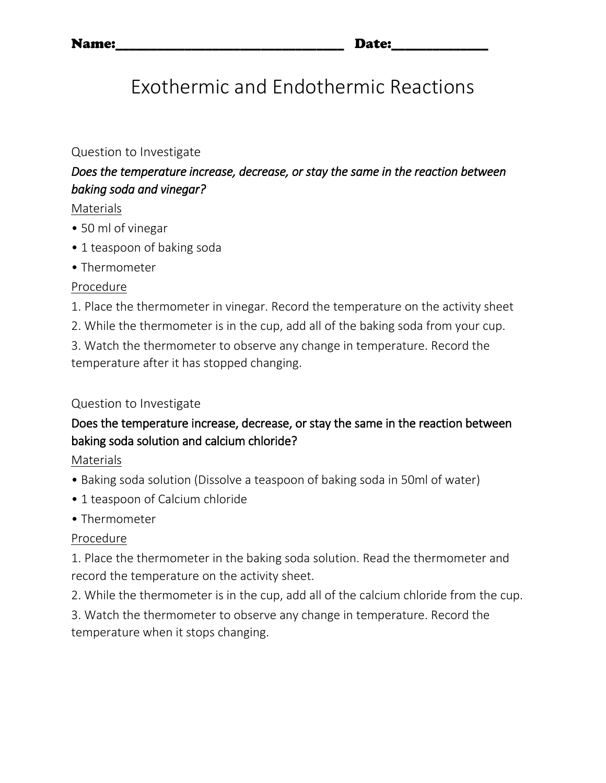# Exothermic and Endothermic Reactions

#### Question to Investigate

## *Does the temperature increase, decrease, or stay the same in the reaction between baking soda and vinegar?*

#### Materials

- 50 ml of vinegar
- 1 teaspoon of baking soda
- Thermometer

#### Procedure

- 1. Place the thermometer in vinegar. Record the temperature on the activity sheet
- 2. While the thermometer is in the cup, add all of the baking soda from your cup.

3. Watch the thermometer to observe any change in temperature. Record the temperature after it has stopped changing.

#### Question to Investigate

## Does the temperature increase, decrease, or stay the same in the reaction between baking soda solution and calcium chloride?

Materials

- Baking soda solution (Dissolve a teaspoon of baking soda in 50ml of water)
- 1 teaspoon of Calcium chloride
- Thermometer

#### Procedure

1. Place the thermometer in the baking soda solution. Read the thermometer and record the temperature on the activity sheet.

2. While the thermometer is in the cup, add all of the calcium chloride from the cup.

3. Watch the thermometer to observe any change in temperature. Record the temperature when it stops changing.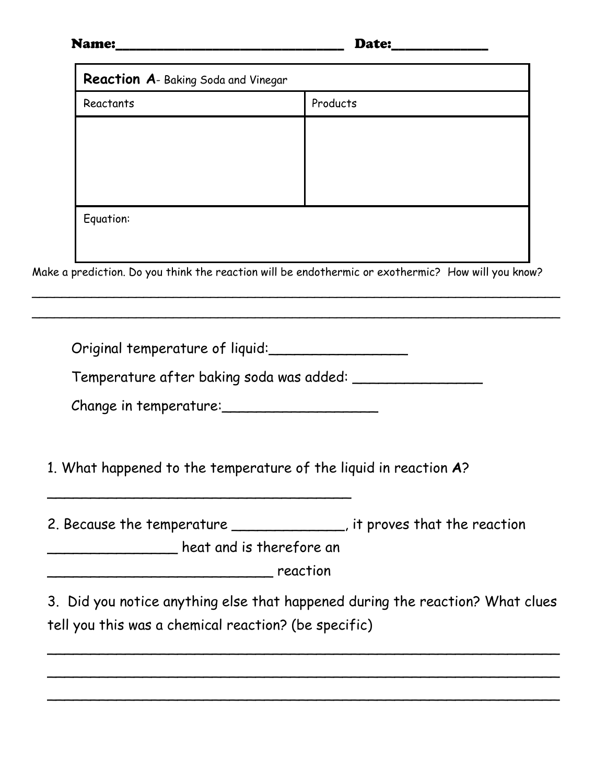### Name:\_\_\_\_\_\_\_\_\_\_\_\_\_\_\_\_\_\_\_\_\_\_\_\_\_\_\_\_\_\_\_\_\_ Date:\_\_\_\_\_\_\_\_\_\_\_\_\_\_

| Reactants                       | Products                                                                                           |
|---------------------------------|----------------------------------------------------------------------------------------------------|
|                                 |                                                                                                    |
|                                 |                                                                                                    |
|                                 |                                                                                                    |
|                                 |                                                                                                    |
|                                 |                                                                                                    |
| Equation:                       |                                                                                                    |
|                                 |                                                                                                    |
|                                 | Make a prediction. Do you think the reaction will be endothermic or exothermic? How will you know? |
|                                 |                                                                                                    |
|                                 |                                                                                                    |
|                                 |                                                                                                    |
| Original temperature of liquid: |                                                                                                    |
|                                 |                                                                                                    |
|                                 |                                                                                                    |
|                                 |                                                                                                    |
| Change in temperature:          |                                                                                                    |
|                                 |                                                                                                    |
|                                 |                                                                                                    |
|                                 | 1. What happened to the temperature of the liquid in reaction A?                                   |
|                                 |                                                                                                    |
|                                 | 2. Because the temperature ______________, it proves that the reaction                             |
| heat and is therefore an        |                                                                                                    |
|                                 | reaction                                                                                           |
|                                 |                                                                                                    |
|                                 | 3. Did you notice anything else that happened during the reaction? What clues                      |

\_\_\_\_\_\_\_\_\_\_\_\_\_\_\_\_\_\_\_\_\_\_\_\_\_\_\_\_\_\_\_\_\_\_\_\_\_\_\_\_\_\_\_\_\_\_\_\_\_\_\_\_\_\_\_\_\_\_\_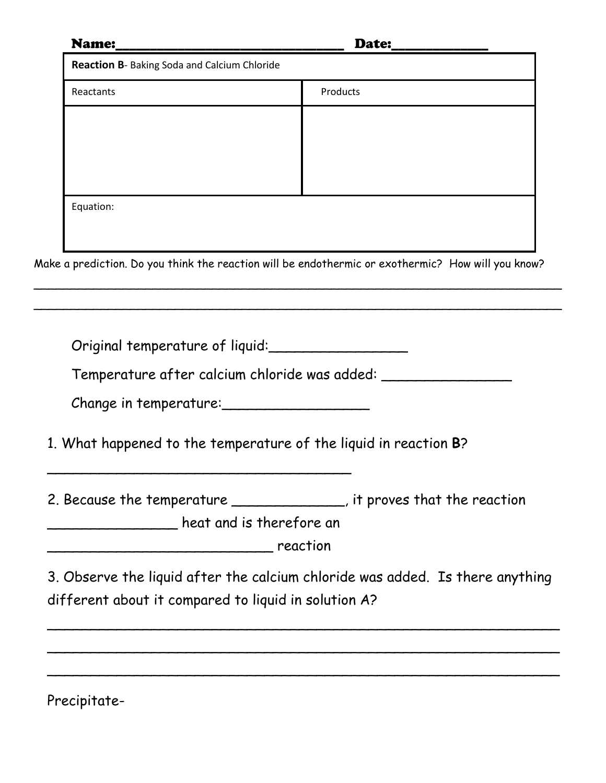| <b>Name:</b>                                         |                                                                                                    |
|------------------------------------------------------|----------------------------------------------------------------------------------------------------|
| Reaction B- Baking Soda and Calcium Chloride         |                                                                                                    |
| Reactants                                            | Products                                                                                           |
|                                                      |                                                                                                    |
|                                                      |                                                                                                    |
|                                                      |                                                                                                    |
|                                                      |                                                                                                    |
| Equation:                                            |                                                                                                    |
|                                                      |                                                                                                    |
|                                                      | Make a prediction. Do you think the reaction will be endothermic or exothermic? How will you know? |
|                                                      |                                                                                                    |
|                                                      |                                                                                                    |
|                                                      |                                                                                                    |
|                                                      | Original temperature of liquid:                                                                    |
|                                                      | Temperature after calcium chloride was added: _____                                                |
| Change in temperature:                               |                                                                                                    |
|                                                      |                                                                                                    |
|                                                      |                                                                                                    |
|                                                      | 1. What happened to the temperature of the liquid in reaction B?                                   |
|                                                      |                                                                                                    |
|                                                      |                                                                                                    |
|                                                      | 2. Because the temperature ______________, it proves that the reaction                             |
| heat and is therefore an keat and is therefore an    |                                                                                                    |
|                                                      |                                                                                                    |
|                                                      | 3. Observe the liquid after the calcium chloride was added. Is there anything                      |
| different about it compared to liquid in solution A? |                                                                                                    |
|                                                      |                                                                                                    |
|                                                      |                                                                                                    |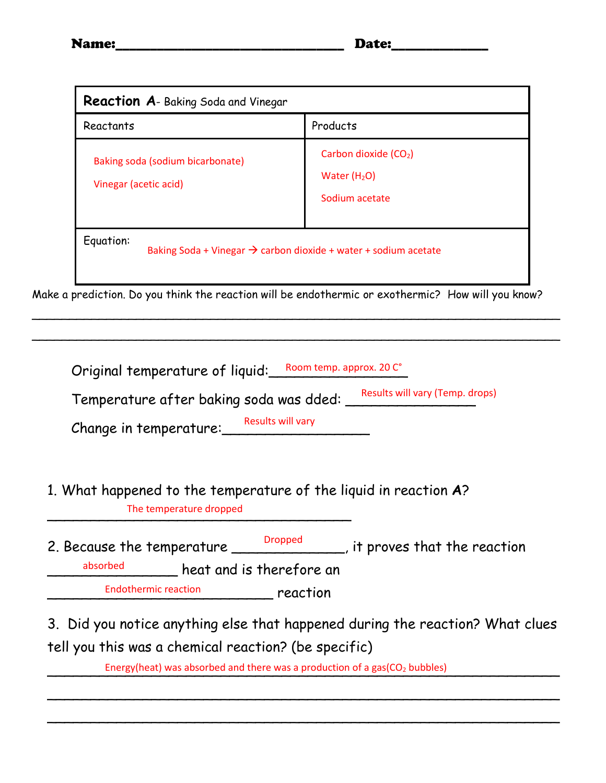| <b>Reaction A-</b> Baking Soda and Vinegar                                               |                                                                      |  |  |  |
|------------------------------------------------------------------------------------------|----------------------------------------------------------------------|--|--|--|
| Reactants                                                                                | Products                                                             |  |  |  |
| Baking soda (sodium bicarbonate)<br>Vinegar (acetic acid)                                | Carbon dioxide (CO <sub>2</sub> )<br>Water $(H2O)$<br>Sodium acetate |  |  |  |
| Equation:<br>Baking Soda + Vinegar $\rightarrow$ carbon dioxide + water + sodium acetate |                                                                      |  |  |  |

Make a prediction. Do you think the reaction will be endothermic or exothermic? How will you know?

\_\_\_\_\_\_\_\_\_\_\_\_\_\_\_\_\_\_\_\_\_\_\_\_\_\_\_\_\_\_\_\_\_\_\_\_\_\_\_\_\_\_\_\_\_\_\_\_\_\_\_\_\_\_\_\_\_\_\_\_\_\_\_\_\_\_\_\_\_\_\_

\_\_\_\_\_\_\_\_\_\_\_\_\_\_\_\_\_\_\_\_\_\_\_\_\_\_\_\_\_\_\_\_\_\_\_\_\_\_\_\_\_\_\_\_\_\_\_\_\_\_\_\_\_\_\_\_\_\_\_\_\_\_\_\_\_\_\_\_\_\_\_

| Temperature after baking soda was dded: |                   | Results will vary (Temp. drops) |
|-----------------------------------------|-------------------|---------------------------------|
| Change in temperature:                  | Results will vary |                                 |

- 1. What happened to the temperature of the liquid in reaction **A**? The temperature dropped<br>
The temperature dropped
- 2. Because the temperature <u>Dropped</u> it proves that the reaction \_\_\_\_\_\_\_\_\_\_\_\_\_\_\_ heat and is therefore an \_\_\_\_\_\_\_\_\_\_\_\_\_\_\_\_\_\_\_\_\_\_\_\_\_\_ reaction absorbed Endothermic reaction

3. Did you notice anything else that happened during the reaction? What clues tell you this was a chemical reaction? (be specific)

\_\_\_\_\_\_\_\_\_\_\_\_\_\_\_\_\_\_\_\_\_\_\_\_\_\_\_\_\_\_\_\_\_\_\_\_\_\_\_\_\_\_\_\_\_\_\_\_\_\_\_\_\_\_\_\_\_\_\_

\_\_\_\_\_\_\_\_\_\_\_\_\_\_\_\_\_\_\_\_\_\_\_\_\_\_\_\_\_\_\_\_\_\_\_\_\_\_\_\_\_\_\_\_\_\_\_\_\_\_\_\_\_\_\_\_\_\_\_

Energy(heat) was absorbed and there was a production of a gas(CO<sub>2</sub> bubbles)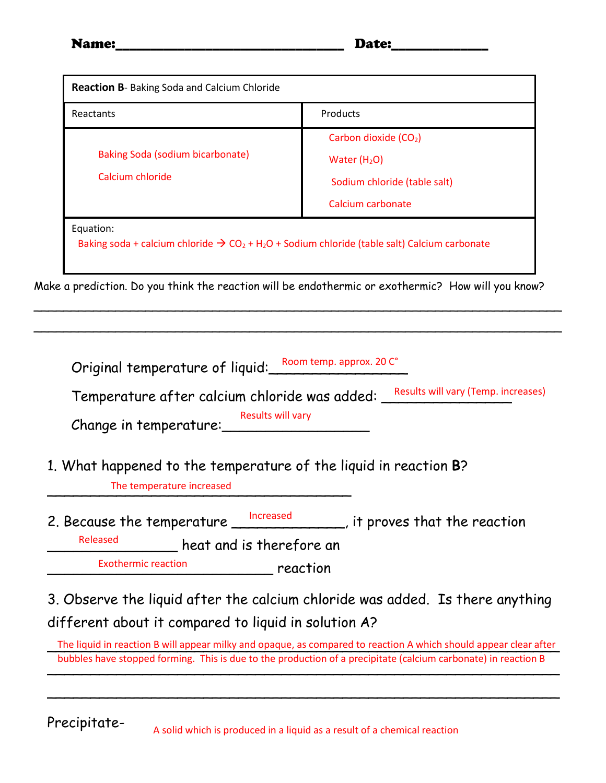| <b>Reaction B-</b> Baking Soda and Calcium Chloride                                                                                           |                                   |  |  |  |
|-----------------------------------------------------------------------------------------------------------------------------------------------|-----------------------------------|--|--|--|
| Reactants                                                                                                                                     | Products                          |  |  |  |
|                                                                                                                                               | Carbon dioxide (CO <sub>2</sub> ) |  |  |  |
| Baking Soda (sodium bicarbonate)                                                                                                              | Water $(H2O)$                     |  |  |  |
| Calcium chloride                                                                                                                              | Sodium chloride (table salt)      |  |  |  |
|                                                                                                                                               | Calcium carbonate                 |  |  |  |
| Equation:<br>Baking soda + calcium chloride $\rightarrow$ CO <sub>2</sub> + H <sub>2</sub> O + Sodium chloride (table salt) Calcium carbonate |                                   |  |  |  |

Make a prediction. Do you think the reaction will be endothermic or exothermic? How will you know?

\_\_\_\_\_\_\_\_\_\_\_\_\_\_\_\_\_\_\_\_\_\_\_\_\_\_\_\_\_\_\_\_\_\_\_\_\_\_\_\_\_\_\_\_\_\_\_\_\_\_\_\_\_\_\_\_\_\_\_\_\_\_\_\_\_\_\_\_\_\_\_

\_\_\_\_\_\_\_\_\_\_\_\_\_\_\_\_\_\_\_\_\_\_\_\_\_\_\_\_\_\_\_\_\_\_\_\_\_\_\_\_\_\_\_\_\_\_\_\_\_\_\_\_\_\_\_\_\_\_\_\_\_\_\_\_\_\_\_\_\_\_\_

| Original temperature of liquid: Room temp. approx. 20 C |  |
|---------------------------------------------------------|--|
|                                                         |  |

Temperature after calcium chloride was added: Results will vary (Temp. increases)

Change in temperature: Results will vary

1. What happened to the temperature of the liquid in reaction **B**?

The temperature increased

2. Because the temperature <u>Increased</u> Fig. it proves that the reaction

heat and is therefore an Released

\_\_\_\_\_\_\_\_\_\_\_\_\_\_\_\_\_\_\_\_\_\_\_\_\_\_ reaction Exothermic reaction

3. Observe the liquid after the calcium chloride was added. Is there anything different about it compared to liquid in solution A?

The liquid in reaction B will appear milky and opaque, as compared to reaction A which should appear clear after  $\mathcal{L}$  and  $\mathcal{L}$  are  $\mathcal{L}$  and  $\mathcal{L}$  are  $\mathcal{L}$  are  $\mathcal{L}$  are  $\mathcal{L}$  are  $\mathcal{L}$  are  $\mathcal{L}$  and  $\mathcal{L}$  are  $\mathcal{L}$  are  $\mathcal{L}$  and  $\mathcal{L}$  are  $\mathcal{L}$  are  $\mathcal{L}$  and  $\mathcal{L}$  are  $\mathcal{L}$  and bubbles have stopped forming. This is due to the production of a precipitate (calcium carbonate) in reaction B

\_\_\_\_\_\_\_\_\_\_\_\_\_\_\_\_\_\_\_\_\_\_\_\_\_\_\_\_\_\_\_\_\_\_\_\_\_\_\_\_\_\_\_\_\_\_\_\_\_\_\_\_\_\_\_\_\_\_\_